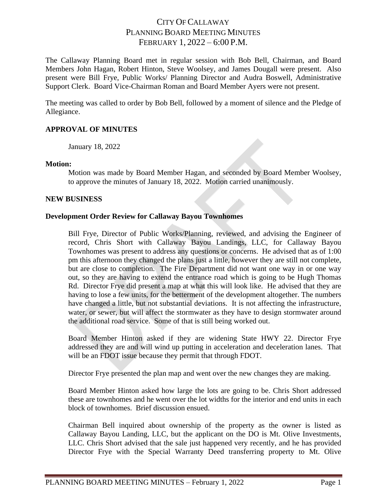# CITY OF CALLAWAY PLANNING BOARD MEETING MINUTES FEBRUARY 1, 2022 – 6:00 P.M.

The Callaway Planning Board met in regular session with Bob Bell, Chairman, and Board Members John Hagan, Robert Hinton, Steve Woolsey, and James Dougall were present. Also present were Bill Frye, Public Works/ Planning Director and Audra Boswell, Administrative Support Clerk. Board Vice-Chairman Roman and Board Member Ayers were not present.

The meeting was called to order by Bob Bell, followed by a moment of silence and the Pledge of Allegiance.

## **APPROVAL OF MINUTES**

January 18, 2022

### **Motion:**

Motion was made by Board Member Hagan, and seconded by Board Member Woolsey, to approve the minutes of January 18, 2022. Motion carried unanimously.

## **NEW BUSINESS**

## **Development Order Review for Callaway Bayou Townhomes**

Bill Frye, Director of Public Works/Planning, reviewed, and advising the Engineer of record, Chris Short with Callaway Bayou Landings, LLC, for Callaway Bayou Townhomes was present to address any questions or concerns. He advised that as of 1:00 pm this afternoon they changed the plans just a little, however they are still not complete, but are close to completion. The Fire Department did not want one way in or one way out, so they are having to extend the entrance road which is going to be Hugh Thomas Rd. Director Frye did present a map at what this will look like. He advised that they are having to lose a few units, for the betterment of the development altogether. The numbers have changed a little, but not substantial deviations. It is not affecting the infrastructure, water, or sewer, but will affect the stormwater as they have to design stormwater around the additional road service. Some of that is still being worked out.

Board Member Hinton asked if they are widening State HWY 22. Director Frye addressed they are and will wind up putting in acceleration and deceleration lanes. That will be an FDOT issue because they permit that through FDOT.

Director Frye presented the plan map and went over the new changes they are making.

Board Member Hinton asked how large the lots are going to be. Chris Short addressed these are townhomes and he went over the lot widths for the interior and end units in each block of townhomes. Brief discussion ensued.

Chairman Bell inquired about ownership of the property as the owner is listed as Callaway Bayou Landing, LLC, but the applicant on the DO is Mt. Olive Investments, LLC. Chris Short advised that the sale just happened very recently, and he has provided Director Frye with the Special Warranty Deed transferring property to Mt. Olive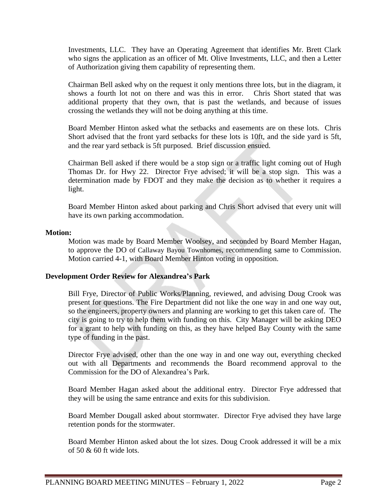Investments, LLC. They have an Operating Agreement that identifies Mr. Brett Clark who signs the application as an officer of Mt. Olive Investments, LLC, and then a Letter of Authorization giving them capability of representing them.

Chairman Bell asked why on the request it only mentions three lots, but in the diagram, it shows a fourth lot not on there and was this in error. Chris Short stated that was additional property that they own, that is past the wetlands, and because of issues crossing the wetlands they will not be doing anything at this time.

Board Member Hinton asked what the setbacks and easements are on these lots. Chris Short advised that the front yard setbacks for these lots is 10ft, and the side yard is 5ft, and the rear yard setback is 5ft purposed. Brief discussion ensued.

Chairman Bell asked if there would be a stop sign or a traffic light coming out of Hugh Thomas Dr. for Hwy 22. Director Frye advised; it will be a stop sign. This was a determination made by FDOT and they make the decision as to whether it requires a light.

Board Member Hinton asked about parking and Chris Short advised that every unit will have its own parking accommodation.

### **Motion:**

Motion was made by Board Member Woolsey, and seconded by Board Member Hagan, to approve the DO of Callaway Bayou Townhomes, recommending same to Commission. Motion carried 4-1, with Board Member Hinton voting in opposition.

### **Development Order Review for Alexandrea's Park**

Bill Frye, Director of Public Works/Planning, reviewed, and advising Doug Crook was present for questions. The Fire Department did not like the one way in and one way out, so the engineers, property owners and planning are working to get this taken care of. The city is going to try to help them with funding on this. City Manager will be asking DEO for a grant to help with funding on this, as they have helped Bay County with the same type of funding in the past.

Director Frye advised, other than the one way in and one way out, everything checked out with all Departments and recommends the Board recommend approval to the Commission for the DO of Alexandrea's Park.

Board Member Hagan asked about the additional entry. Director Frye addressed that they will be using the same entrance and exits for this subdivision.

Board Member Dougall asked about stormwater. Director Frye advised they have large retention ponds for the stormwater.

Board Member Hinton asked about the lot sizes. Doug Crook addressed it will be a mix of 50 & 60 ft wide lots.